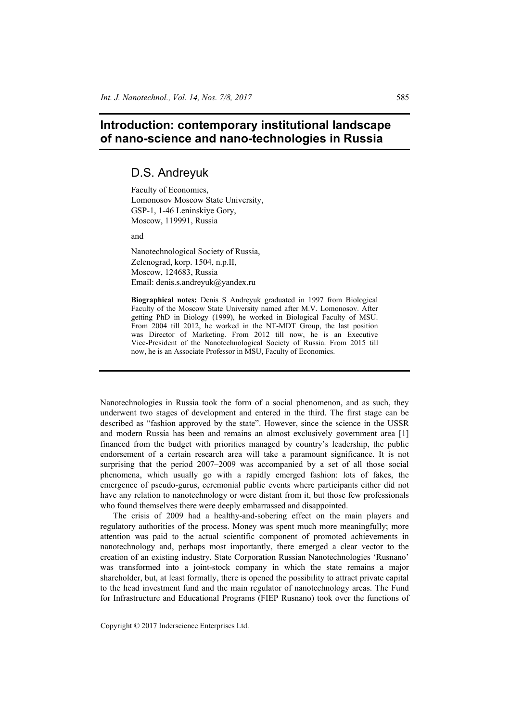# **Introduction: contemporary institutional landscape of nano-science and nano-technologies in Russia**

## D.S. Andreyuk

Faculty of Economics, Lomonosov Moscow State University, GSP-1, 1-46 Leninskiye Gory, Moscow, 119991, Russia

and

Nanotechnological Society of Russia, Zelenograd, korp. 1504, n.p.II, Moscow, 124683, Russia Email: denis.s.andreyuk@yandex.ru

**Biographical notes:** Denis S Andreyuk graduated in 1997 from Biological Faculty of the Moscow State University named after M.V. Lomonosov. After getting PhD in Biology (1999), he worked in Biological Faculty of MSU. From 2004 till 2012, he worked in the NT-MDT Group, the last position was Director of Marketing. From 2012 till now, he is an Executive Vice-President of the Nanotechnological Society of Russia. From 2015 till now, he is an Associate Professor in MSU, Faculty of Economics.

Nanotechnologies in Russia took the form of a social phenomenon, and as such, they underwent two stages of development and entered in the third. The first stage can be described as "fashion approved by the state". However, since the science in the USSR and modern Russia has been and remains an almost exclusively government area [1] financed from the budget with priorities managed by country's leadership, the public endorsement of a certain research area will take a paramount significance. It is not surprising that the period 2007–2009 was accompanied by a set of all those social phenomena, which usually go with a rapidly emerged fashion: lots of fakes, the emergence of pseudo-gurus, ceremonial public events where participants either did not have any relation to nanotechnology or were distant from it, but those few professionals who found themselves there were deeply embarrassed and disappointed.

The crisis of 2009 had a healthy-and-sobering effect on the main players and regulatory authorities of the process. Money was spent much more meaningfully; more attention was paid to the actual scientific component of promoted achievements in nanotechnology and, perhaps most importantly, there emerged a clear vector to the creation of an existing industry. State Corporation Russian Nanotechnologies 'Rusnano' was transformed into a joint-stock company in which the state remains a major shareholder, but, at least formally, there is opened the possibility to attract private capital to the head investment fund and the main regulator of nanotechnology areas. The Fund for Infrastructure and Educational Programs (FIEP Rusnano) took over the functions of

Copyright © 2017 Inderscience Enterprises Ltd.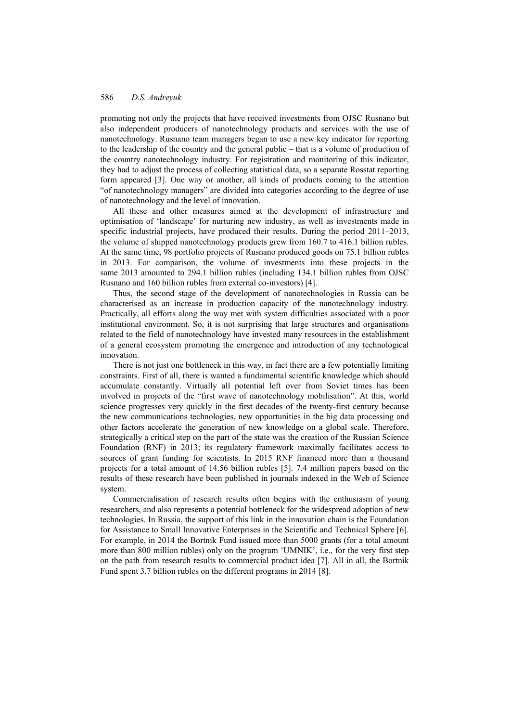### 586 *D.S. Andreyuk*

promoting not only the projects that have received investments from OJSC Rusnano but also independent producers of nanotechnology products and services with the use of nanotechnology. Rusnano team managers began to use a new key indicator for reporting to the leadership of the country and the general public – that is a volume of production of the country nanotechnology industry. For registration and monitoring of this indicator, they had to adjust the process of collecting statistical data, so a separate Rosstat reporting form appeared [3]. One way or another, all kinds of products coming to the attention "of nanotechnology managers" are divided into categories according to the degree of use of nanotechnology and the level of innovation.

All these and other measures aimed at the development of infrastructure and optimisation of 'landscape' for nurturing new industry, as well as investments made in specific industrial projects, have produced their results. During the period 2011–2013, the volume of shipped nanotechnology products grew from 160.7 to 416.1 billion rubles. At the same time, 98 portfolio projects of Rusnano produced goods on 75.1 billion rubles in 2013. For comparison, the volume of investments into these projects in the same 2013 amounted to 294.1 billion rubles (including 134.1 billion rubles from OJSC Rusnano and 160 billion rubles from external co-investors) [4].

Thus, the second stage of the development of nanotechnologies in Russia can be characterised as an increase in production capacity of the nanotechnology industry. Practically, all efforts along the way met with system difficulties associated with a poor institutional environment. So, it is not surprising that large structures and organisations related to the field of nanotechnology have invested many resources in the establishment of a general ecosystem promoting the emergence and introduction of any technological innovation.

There is not just one bottleneck in this way, in fact there are a few potentially limiting constraints. First of all, there is wanted a fundamental scientific knowledge which should accumulate constantly. Virtually all potential left over from Soviet times has been involved in projects of the "first wave of nanotechnology mobilisation". At this, world science progresses very quickly in the first decades of the twenty-first century because the new communications technologies, new opportunities in the big data processing and other factors accelerate the generation of new knowledge on a global scale. Therefore, strategically a critical step on the part of the state was the creation of the Russian Science Foundation (RNF) in 2013; its regulatory framework maximally facilitates access to sources of grant funding for scientists. In 2015 RNF financed more than a thousand projects for a total amount of 14.56 billion rubles [5]. 7.4 million papers based on the results of these research have been published in journals indexed in the Web of Science system.

Commercialisation of research results often begins with the enthusiasm of young researchers, and also represents a potential bottleneck for the widespread adoption of new technologies. In Russia, the support of this link in the innovation chain is the Foundation for Assistance to Small Innovative Enterprises in the Scientific and Technical Sphere [6]. For example, in 2014 the Bortnik Fund issued more than 5000 grants (for a total amount more than 800 million rubles) only on the program 'UMNIK', i.e., for the very first step on the path from research results to commercial product idea [7]. All in all, the Bortnik Fund spent 3.7 billion rubles on the different programs in 2014 [8].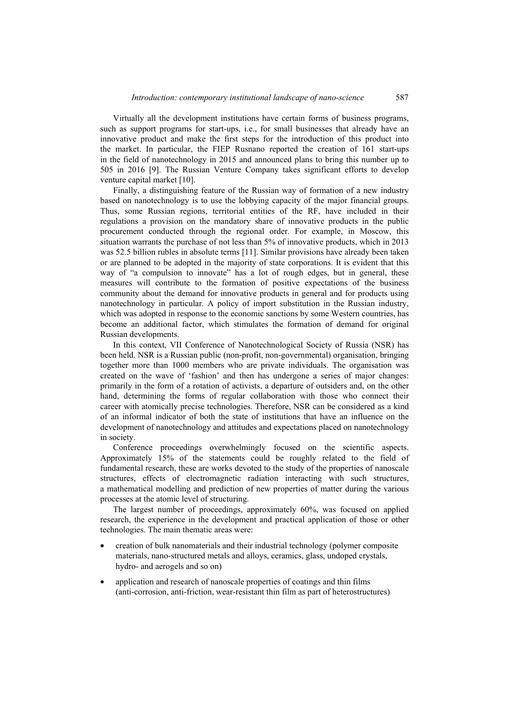Virtually all the development institutions have certain forms of business programs, such as support programs for start-ups, i.e., for small businesses that already have an innovative product and make the first steps for the introduction of this product into the market. In particular, the FIEP Rusnano reported the creation of 161 start-ups in the field of nanotechnology in 2015 and announced plans to bring this number up to 505 in 2016 [9]. The Russian Venture Company takes significant efforts to develop venture capital market [10].

Finally, a distinguishing feature of the Russian way of formation of a new industry based on nanotechnology is to use the lobbying capacity of the major financial groups. Thus, some Russian regions, territorial entities of the RF, have included in their regulations a provision on the mandatory share of innovative products in the public procurement conducted through the regional order. For example, in Moscow, this situation warrants the purchase of not less than 5% of innovative products, which in 2013 was 52.5 billion rubles in absolute terms [11]. Similar provisions have already been taken or are planned to be adopted in the majority of state corporations. It is evident that this way of "a compulsion to innovate" has a lot of rough edges, but in general, these measures will contribute to the formation of positive expectations of the business community about the demand for innovative products in general and for products using nanotechnology in particular. A policy of import substitution in the Russian industry, which was adopted in response to the economic sanctions by some Western countries, has become an additional factor, which stimulates the formation of demand for original Russian developments.

In this context, VII Conference of Nanotechnological Society of Russia (NSR) has been held. NSR is a Russian public (non-profit, non-governmental) organisation, bringing together more than 1000 members who are private individuals. The organisation was created on the wave of 'fashion' and then has undergone a series of major changes: primarily in the form of a rotation of activists, a departure of outsiders and, on the other hand, determining the forms of regular collaboration with those who connect their career with atomically precise technologies. Therefore, NSR can be considered as a kind of an informal indicator of both the state of institutions that have an influence on the development of nanotechnology and attitudes and expectations placed on nanotechnology in society.

Conference proceedings overwhelmingly focused on the scientific aspects. Approximately 15% of the statements could be roughly related to the field of fundamental research, these are works devoted to the study of the properties of nanoscale structures, effects of electromagnetic radiation interacting with such structures, a mathematical modelling and prediction of new properties of matter during the various processes at the atomic level of structuring.

The largest number of proceedings, approximately 60%, was focused on applied research, the experience in the development and practical application of those or other technologies. The main thematic areas were:

- creation of bulk nanomaterials and their industrial technology (polymer composite materials, nano-structured metals and alloys, ceramics, glass, undoped crystals, hydro- and aerogels and so on)
- application and research of nanoscale properties of coatings and thin films (anti-corrosion, anti-friction, wear-resistant thin film as part of heterostructures)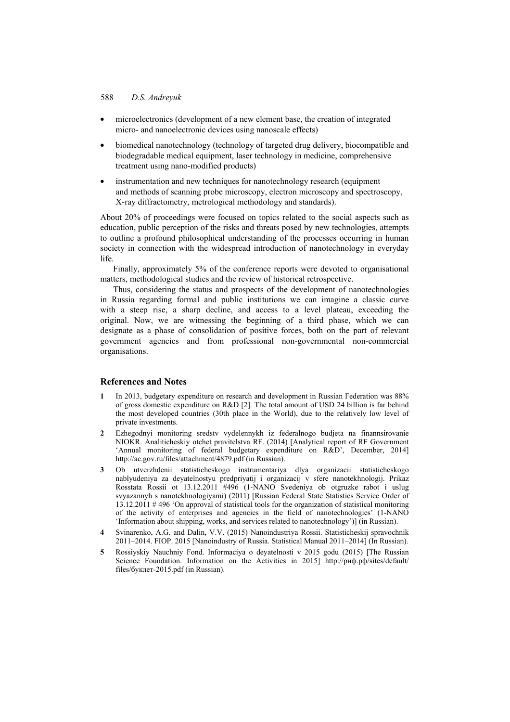### 588 *D.S. Andreyuk*

- microelectronics (development of a new element base, the creation of integrated micro- and nanoelectronic devices using nanoscale effects)
- biomedical nanotechnology (technology of targeted drug delivery, biocompatible and biodegradable medical equipment, laser technology in medicine, comprehensive treatment using nano-modified products)
- instrumentation and new techniques for nanotechnology research (equipment and methods of scanning probe microscopy, electron microscopy and spectroscopy, X-ray diffractometry, metrological methodology and standards).

About 20% of proceedings were focused on topics related to the social aspects such as education, public perception of the risks and threats posed by new technologies, attempts to outline a profound philosophical understanding of the processes occurring in human society in connection with the widespread introduction of nanotechnology in everyday life.

Finally, approximately 5% of the conference reports were devoted to organisational matters, methodological studies and the review of historical retrospective.

Thus, considering the status and prospects of the development of nanotechnologies in Russia regarding formal and public institutions we can imagine a classic curve with a steep rise, a sharp decline, and access to a level plateau, exceeding the original. Now, we are witnessing the beginning of a third phase, which we can designate as a phase of consolidation of positive forces, both on the part of relevant government agencies and from professional non-governmental non-commercial organisations.

#### **References and Notes**

- **1** In 2013, budgetary expenditure on research and development in Russian Federation was 88% of gross domestic expenditure on R&D [2]. The total amount of USD 24 billion is far behind the most developed countries (30th place in the World), due to the relatively low level of private investments.
- **2** Ezhegodnyi monitoring sredstv vydelennykh iz federalnogo budjeta na finannsirovanie NIOKR. Analiticheskiy otchet pravitelstva RF. (2014) [Analytical report of RF Government 'Annual monitoring of federal budgetary expenditure on R&D', December, 2014] http://ac.gov.ru/files/attachment/4879.pdf (in Russian).
- **3** Ob utverzhdenii statisticheskogo instrumentariya dlya organizacii statisticheskogo nablyudeniya za deyatelnostyu predpriyatij i organizacij v sfere nanotekhnologij. Prikaz Rosstata Rossii ot 13.12.2011 #496 (1-NANO Svedeniya ob otgruzke rabot i uslug svyazannyh s nanotekhnologiyami) (2011) [Russian Federal State Statistics Service Order of 13.12.2011 # 496 'On approval of statistical tools for the organization of statistical monitoring of the activity of enterprises and agencies in the field of nanotechnologies' (1-NANO 'Information about shipping, works, and services related to nanotechnology')] (in Russian).
- **4** Svinarenko, A.G. and Dalin, V.V. (2015) Nanoindustriya Rossii. Statisticheskij spravochnik 2011–2014. FIOP. 2015 [Nanoindustry of Russia. Statistical Manual 2011–2014] (In Russian).
- **5** Rossiyskiy Nauchniy Fond. Informaciya o deyatelnosti v 2015 godu (2015) [The Russian Science Foundation. Information on the Activities in 2015] http://рнф.рф/sites/default/ files/буклет-2015.pdf (in Russian).